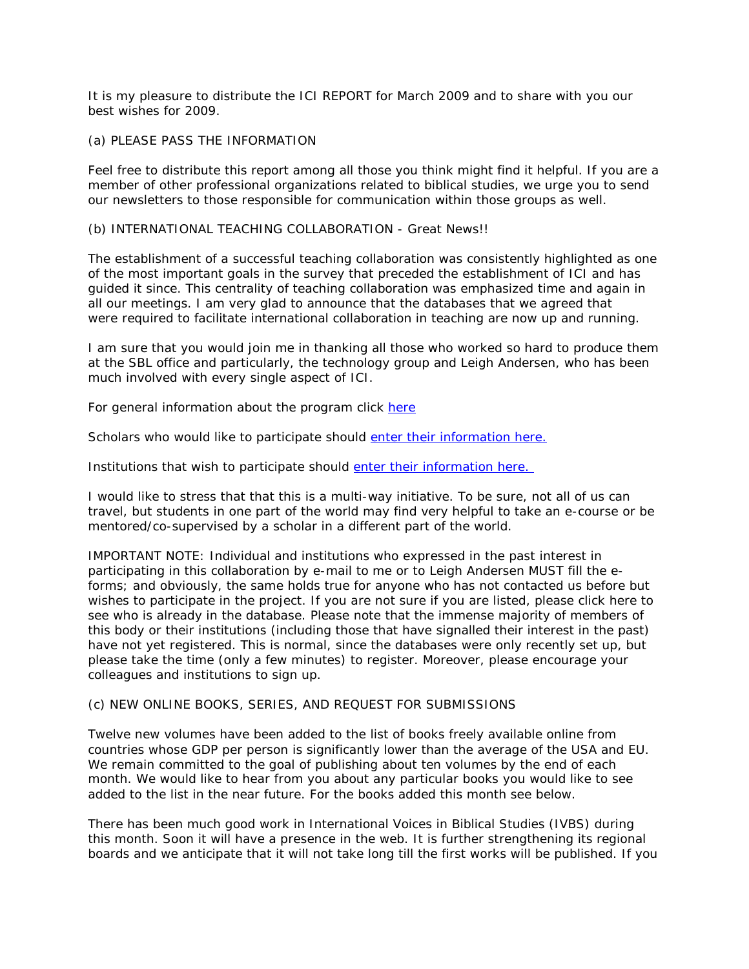It is my pleasure to distribute the ICI REPORT for March 2009 and to share with you our best wishes for 2009.

# (a) PLEASE PASS THE INFORMATION

Feel free to distribute this report among all those you think might find it helpful. If you are a member of other professional organizations related to biblical studies, we urge you to send our newsletters to those responsible for communication within those groups as well.

# (b) INTERNATIONAL TEACHING COLLABORATION - Great News!!

The establishment of a successful teaching collaboration was consistently highlighted as one of the most important goals in the survey that preceded the establishment of ICI and has guided it since. This centrality of teaching collaboration was emphasized time and again in all our meetings. I am very glad to announce that the databases that we agreed that were required to facilitate international collaboration in teaching are now up and running.

I am sure that you would join me in thanking all those who worked so hard to produce them at the SBL office and particularly, the technology group and Leigh Andersen, who has been much involved with every single aspect of ICI.

For general information about the program click [here](http://www.sbl-site.org/educational/ICITeaching.aspx)

Scholars who would like to participate should [enter their information here.](http://www.sbl-site.org/educational/ICIscholar.aspx)

Institutions that wish to participate should [enter their information here.](http://www.sbl-site.org/educational/ICIinstitution.aspx)

I would like to stress that that this is a multi-way initiative. To be sure, not all of us can travel, but students in one part of the world may find very helpful to take an e-course or be mentored/co-supervised by a scholar in a different part of the world.

IMPORTANT NOTE: Individual and institutions who expressed in the past interest in participating in this collaboration by e-mail to me or to Leigh Andersen MUST fill the eforms; and obviously, the same holds true for anyone who has not contacted us before but wishes to participate in the project. If you are not sure if you are listed, please click here to see who is already in the database. Please note that the immense majority of members of this body or their institutions (including those that have signalled their interest in the past) have not yet registered. This is normal, since the databases were only recently set up, but please take the time (only a few minutes) to register. Moreover, please encourage your colleagues and institutions to sign up.

### (c) NEW ONLINE BOOKS, SERIES, AND REQUEST FOR SUBMISSIONS

Twelve new volumes have been added to the list of books freely available online from countries whose GDP per person is significantly lower than the average of the USA and EU. We remain committed to the goal of publishing about ten volumes by the end of each month. We would like to hear from you about any particular books you would like to see added to the list in the near future. For the books added this month see below.

There has been much good work in International Voices in Biblical Studies (IVBS) during this month. Soon it will have a presence in the web. It is further strengthening its regional boards and we anticipate that it will not take long till the first works will be published. If you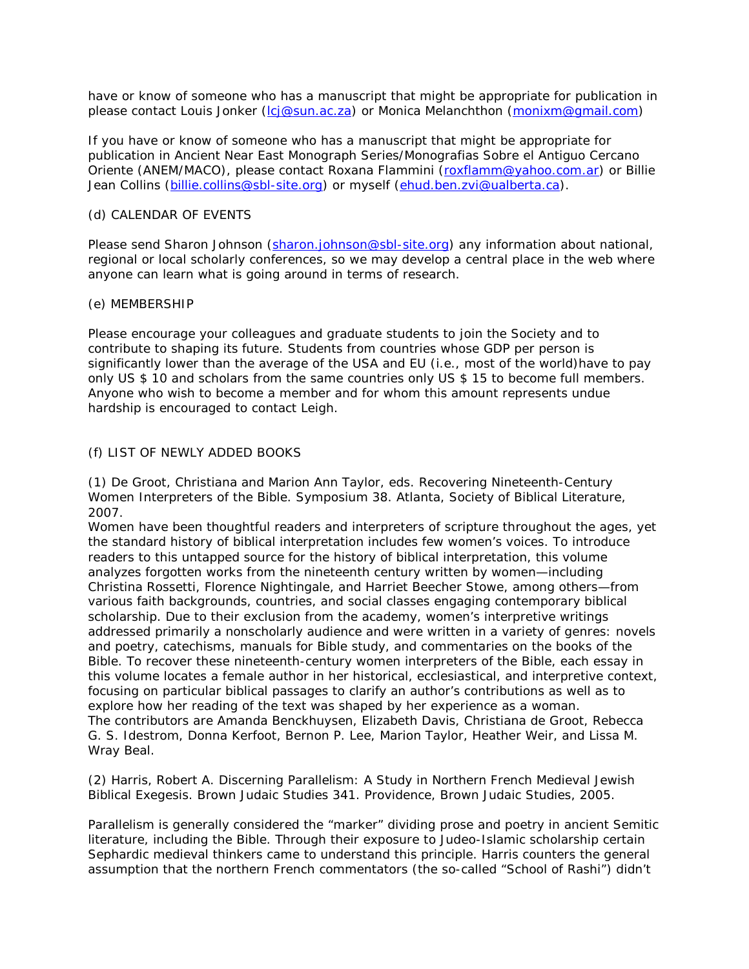have or know of someone who has a manuscript that might be appropriate for publication in please contact Louis Jonker [\(lcj@sun.ac.za\)](mailto:lcj@sun.ac.za) or Monica Melanchthon [\(monixm@gmail.com\)](mailto:monixm@gmail.com)

If you have or know of someone who has a manuscript that might be appropriate for publication in Ancient Near East Monograph Series/Monografias Sobre el Antiguo Cercano Oriente (ANEM/MACO), please contact Roxana Flammini [\(roxflamm@yahoo.com.ar\)](mailto:roxflamm@yahoo.com.ar) or Billie Jean Collins [\(billie.collins@sbl-site.org\)](mailto:billie.collins@sbl-site.org) or myself [\(ehud.ben.zvi@ualberta.ca\)](mailto:ehud.ben.zvi@ualberta.ca).

# (d) CALENDAR OF EVENTS

Please send Sharon Johnson [\(sharon.johnson@sbl-site.org\)](mailto:sharon.johnson@sbl-site.org) any information about national, regional or local scholarly conferences, so we may develop a central place in the web where anyone can learn what is going around in terms of research.

### (e) MEMBERSHIP

Please encourage your colleagues and graduate students to join the Society and to contribute to shaping its future. Students from countries whose GDP per person is significantly lower than the average of the USA and EU (i.e., most of the world)have to pay only US \$ 10 and scholars from the same countries only US \$ 15 to become full members. Anyone who wish to become a member and for whom this amount represents undue hardship is encouraged to contact Leigh.

# (f) LIST OF NEWLY ADDED BOOKS

(1) De Groot, Christiana and Marion Ann Taylor, eds. Recovering Nineteenth-Century Women Interpreters of the Bible. Symposium 38. Atlanta, Society of Biblical Literature, 2007.

Women have been thoughtful readers and interpreters of scripture throughout the ages, yet the standard history of biblical interpretation includes few women's voices. To introduce readers to this untapped source for the history of biblical interpretation, this volume analyzes forgotten works from the nineteenth century written by women—including Christina Rossetti, Florence Nightingale, and Harriet Beecher Stowe, among others—from various faith backgrounds, countries, and social classes engaging contemporary biblical scholarship. Due to their exclusion from the academy, women's interpretive writings addressed primarily a nonscholarly audience and were written in a variety of genres: novels and poetry, catechisms, manuals for Bible study, and commentaries on the books of the Bible. To recover these nineteenth-century women interpreters of the Bible, each essay in this volume locates a female author in her historical, ecclesiastical, and interpretive context, focusing on particular biblical passages to clarify an author's contributions as well as to explore how her reading of the text was shaped by her experience as a woman. The contributors are Amanda Benckhuysen, Elizabeth Davis, Christiana de Groot, Rebecca G. S. Idestrom, Donna Kerfoot, Bernon P. Lee, Marion Taylor, Heather Weir, and Lissa M. Wray Beal.

(2) Harris, Robert A. Discerning Parallelism: A Study in Northern French Medieval Jewish Biblical Exegesis. Brown Judaic Studies 341. Providence, Brown Judaic Studies, 2005.

Parallelism is generally considered the "marker" dividing prose and poetry in ancient Semitic literature, including the Bible. Through their exposure to Judeo-Islamic scholarship certain Sephardic medieval thinkers came to understand this principle. Harris counters the general assumption that the northern French commentators (the so-called "School of Rashi") didn't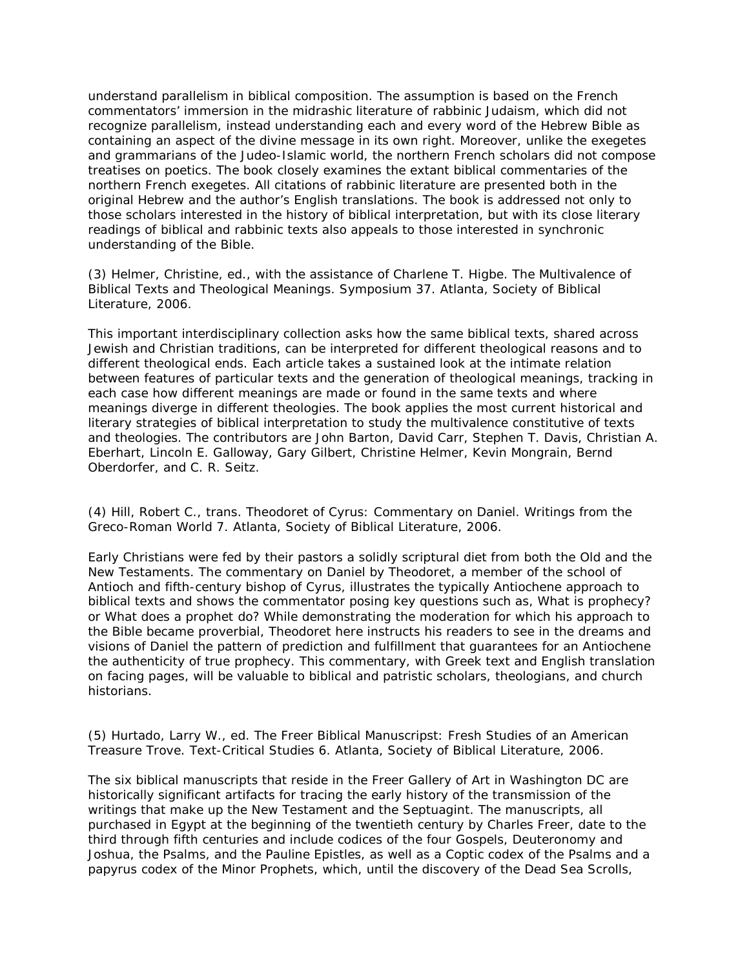understand parallelism in biblical composition. The assumption is based on the French commentators' immersion in the midrashic literature of rabbinic Judaism, which did not recognize parallelism, instead understanding each and every word of the Hebrew Bible as containing an aspect of the divine message in its own right. Moreover, unlike the exegetes and grammarians of the Judeo-Islamic world, the northern French scholars did not compose treatises on poetics. The book closely examines the extant biblical commentaries of the northern French exegetes. All citations of rabbinic literature are presented both in the original Hebrew and the author's English translations. The book is addressed not only to those scholars interested in the history of biblical interpretation, but with its close literary readings of biblical and rabbinic texts also appeals to those interested in synchronic understanding of the Bible.

(3) Helmer, Christine, ed., with the assistance of Charlene T. Higbe. The Multivalence of Biblical Texts and Theological Meanings. Symposium 37. Atlanta, Society of Biblical Literature, 2006.

This important interdisciplinary collection asks how the same biblical texts, shared across Jewish and Christian traditions, can be interpreted for different theological reasons and to different theological ends. Each article takes a sustained look at the intimate relation between features of particular texts and the generation of theological meanings, tracking in each case how different meanings are made or found in the same texts and where meanings diverge in different theologies. The book applies the most current historical and literary strategies of biblical interpretation to study the multivalence constitutive of texts and theologies. The contributors are John Barton, David Carr, Stephen T. Davis, Christian A. Eberhart, Lincoln E. Galloway, Gary Gilbert, Christine Helmer, Kevin Mongrain, Bernd Oberdorfer, and C. R. Seitz.

(4) Hill, Robert C., trans. Theodoret of Cyrus: Commentary on Daniel. Writings from the Greco-Roman World 7. Atlanta, Society of Biblical Literature, 2006.

Early Christians were fed by their pastors a solidly scriptural diet from both the Old and the New Testaments. The commentary on Daniel by Theodoret, a member of the school of Antioch and fifth-century bishop of Cyrus, illustrates the typically Antiochene approach to biblical texts and shows the commentator posing key questions such as, What is prophecy? or What does a prophet do? While demonstrating the moderation for which his approach to the Bible became proverbial, Theodoret here instructs his readers to see in the dreams and visions of Daniel the pattern of prediction and fulfillment that guarantees for an Antiochene the authenticity of true prophecy. This commentary, with Greek text and English translation on facing pages, will be valuable to biblical and patristic scholars, theologians, and church historians.

(5) Hurtado, Larry W., ed. The Freer Biblical Manuscripst: Fresh Studies of an American Treasure Trove. Text-Critical Studies 6. Atlanta, Society of Biblical Literature, 2006.

The six biblical manuscripts that reside in the Freer Gallery of Art in Washington DC are historically significant artifacts for tracing the early history of the transmission of the writings that make up the New Testament and the Septuagint. The manuscripts, all purchased in Egypt at the beginning of the twentieth century by Charles Freer, date to the third through fifth centuries and include codices of the four Gospels, Deuteronomy and Joshua, the Psalms, and the Pauline Epistles, as well as a Coptic codex of the Psalms and a papyrus codex of the Minor Prophets, which, until the discovery of the Dead Sea Scrolls,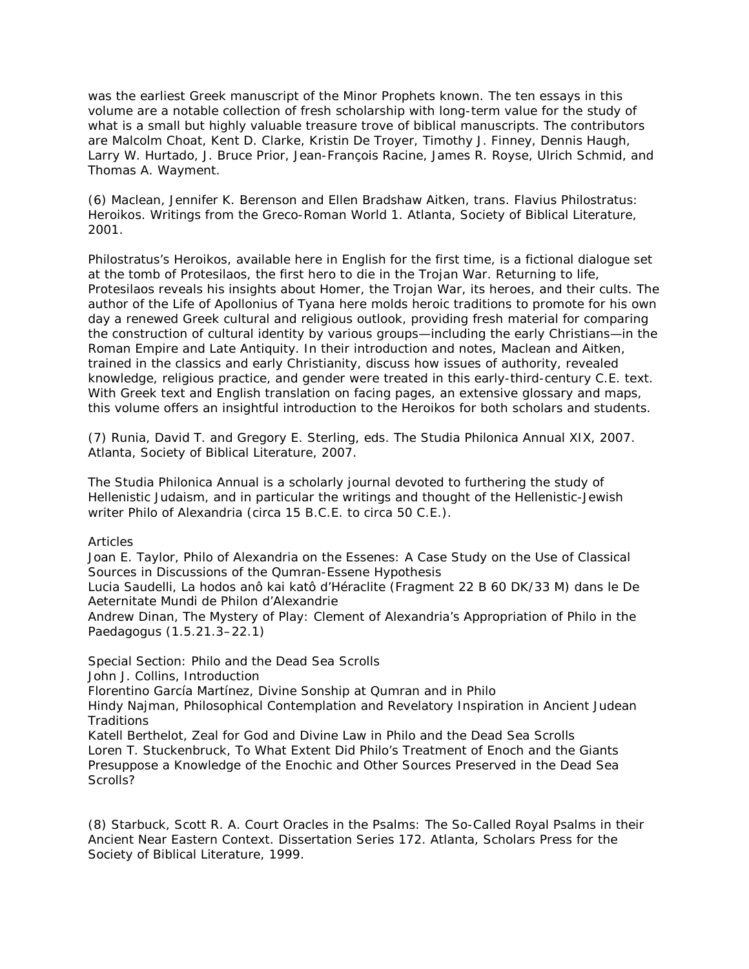was the earliest Greek manuscript of the Minor Prophets known. The ten essays in this volume are a notable collection of fresh scholarship with long-term value for the study of what is a small but highly valuable treasure trove of biblical manuscripts. The contributors are Malcolm Choat, Kent D. Clarke, Kristin De Troyer, Timothy J. Finney, Dennis Haugh, Larry W. Hurtado, J. Bruce Prior, Jean-François Racine, James R. Royse, Ulrich Schmid, and Thomas A. Wayment.

(6) Maclean, Jennifer K. Berenson and Ellen Bradshaw Aitken, trans. Flavius Philostratus: Heroikos. Writings from the Greco-Roman World 1. Atlanta, Society of Biblical Literature, 2001.

Philostratus's Heroikos, available here in English for the first time, is a fictional dialogue set at the tomb of Protesilaos, the first hero to die in the Trojan War. Returning to life, Protesilaos reveals his insights about Homer, the Trojan War, its heroes, and their cults. The author of the Life of Apollonius of Tyana here molds heroic traditions to promote for his own day a renewed Greek cultural and religious outlook, providing fresh material for comparing the construction of cultural identity by various groups—including the early Christians—in the Roman Empire and Late Antiquity. In their introduction and notes, Maclean and Aitken, trained in the classics and early Christianity, discuss how issues of authority, revealed knowledge, religious practice, and gender were treated in this early-third-century C.E. text. With Greek text and English translation on facing pages, an extensive glossary and maps, this volume offers an insightful introduction to the Heroikos for both scholars and students.

(7) Runia, David T. and Gregory E. Sterling, eds. The Studia Philonica Annual XIX, 2007. Atlanta, Society of Biblical Literature, 2007.

The Studia Philonica Annual is a scholarly journal devoted to furthering the study of Hellenistic Judaism, and in particular the writings and thought of the Hellenistic-Jewish writer Philo of Alexandria (circa 15 B.C.E. to circa 50 C.E.).

Articles

Joan E. Taylor, Philo of Alexandria on the Essenes: A Case Study on the Use of Classical Sources in Discussions of the Qumran-Essene Hypothesis

Lucia Saudelli, La hodos anô kai katô d'Héraclite (Fragment 22 B 60 DK/33 M) dans le De Aeternitate Mundi de Philon d'Alexandrie

Andrew Dinan, The Mystery of Play: Clement of Alexandria's Appropriation of Philo in the Paedagogus (1.5.21.3–22.1)

Special Section: Philo and the Dead Sea Scrolls

John J. Collins, Introduction

Florentino García Martínez, Divine Sonship at Qumran and in Philo

Hindy Najman, Philosophical Contemplation and Revelatory Inspiration in Ancient Judean **Traditions** 

Katell Berthelot, Zeal for God and Divine Law in Philo and the Dead Sea Scrolls Loren T. Stuckenbruck, To What Extent Did Philo's Treatment of Enoch and the Giants Presuppose a Knowledge of the Enochic and Other Sources Preserved in the Dead Sea Scrolls?

(8) Starbuck, Scott R. A. Court Oracles in the Psalms: The So-Called Royal Psalms in their Ancient Near Eastern Context. Dissertation Series 172. Atlanta, Scholars Press for the Society of Biblical Literature, 1999.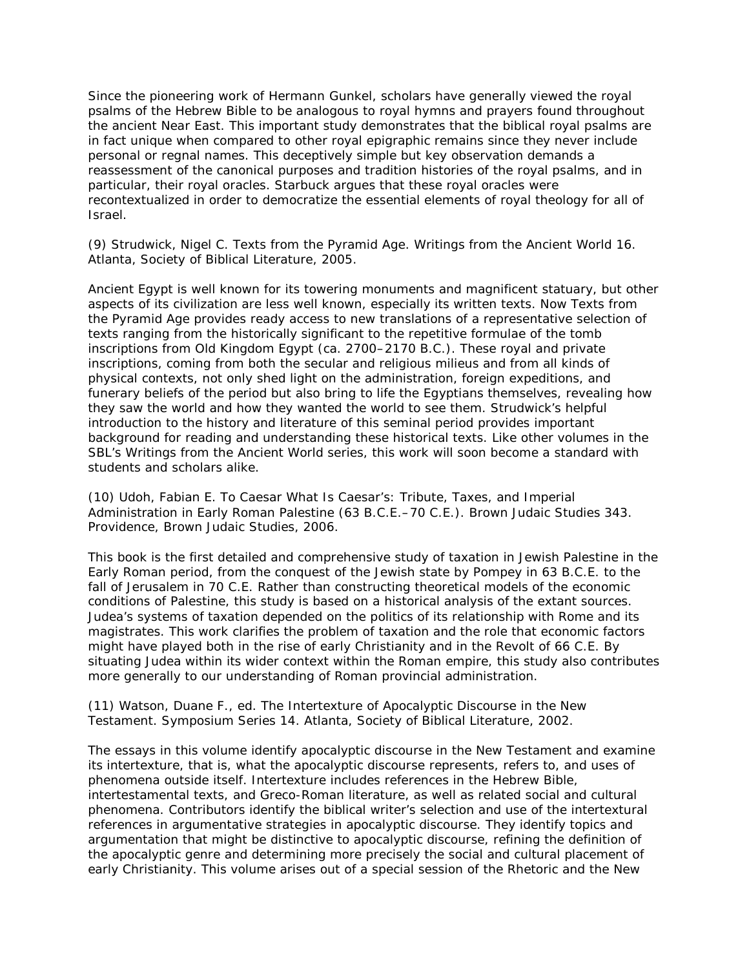Since the pioneering work of Hermann Gunkel, scholars have generally viewed the royal psalms of the Hebrew Bible to be analogous to royal hymns and prayers found throughout the ancient Near East. This important study demonstrates that the biblical royal psalms are in fact unique when compared to other royal epigraphic remains since they never include personal or regnal names. This deceptively simple but key observation demands a reassessment of the canonical purposes and tradition histories of the royal psalms, and in particular, their royal oracles. Starbuck argues that these royal oracles were recontextualized in order to democratize the essential elements of royal theology for all of Israel.

(9) Strudwick, Nigel C. Texts from the Pyramid Age. Writings from the Ancient World 16. Atlanta, Society of Biblical Literature, 2005.

Ancient Egypt is well known for its towering monuments and magnificent statuary, but other aspects of its civilization are less well known, especially its written texts. Now Texts from the Pyramid Age provides ready access to new translations of a representative selection of texts ranging from the historically significant to the repetitive formulae of the tomb inscriptions from Old Kingdom Egypt (ca. 2700–2170 B.C.). These royal and private inscriptions, coming from both the secular and religious milieus and from all kinds of physical contexts, not only shed light on the administration, foreign expeditions, and funerary beliefs of the period but also bring to life the Egyptians themselves, revealing how they saw the world and how they wanted the world to see them. Strudwick's helpful introduction to the history and literature of this seminal period provides important background for reading and understanding these historical texts. Like other volumes in the SBL's Writings from the Ancient World series, this work will soon become a standard with students and scholars alike.

(10) Udoh, Fabian E. To Caesar What Is Caesar's: Tribute, Taxes, and Imperial Administration in Early Roman Palestine (63 B.C.E.–70 C.E.). Brown Judaic Studies 343. Providence, Brown Judaic Studies, 2006.

This book is the first detailed and comprehensive study of taxation in Jewish Palestine in the Early Roman period, from the conquest of the Jewish state by Pompey in 63 B.C.E. to the fall of Jerusalem in 70 C.E. Rather than constructing theoretical models of the economic conditions of Palestine, this study is based on a historical analysis of the extant sources. Judea's systems of taxation depended on the politics of its relationship with Rome and its magistrates. This work clarifies the problem of taxation and the role that economic factors might have played both in the rise of early Christianity and in the Revolt of 66 C.E. By situating Judea within its wider context within the Roman empire, this study also contributes more generally to our understanding of Roman provincial administration.

(11) Watson, Duane F., ed. The Intertexture of Apocalyptic Discourse in the New Testament. Symposium Series 14. Atlanta, Society of Biblical Literature, 2002.

The essays in this volume identify apocalyptic discourse in the New Testament and examine its intertexture, that is, what the apocalyptic discourse represents, refers to, and uses of phenomena outside itself. Intertexture includes references in the Hebrew Bible, intertestamental texts, and Greco-Roman literature, as well as related social and cultural phenomena. Contributors identify the biblical writer's selection and use of the intertextural references in argumentative strategies in apocalyptic discourse. They identify topics and argumentation that might be distinctive to apocalyptic discourse, refining the definition of the apocalyptic genre and determining more precisely the social and cultural placement of early Christianity. This volume arises out of a special session of the Rhetoric and the New